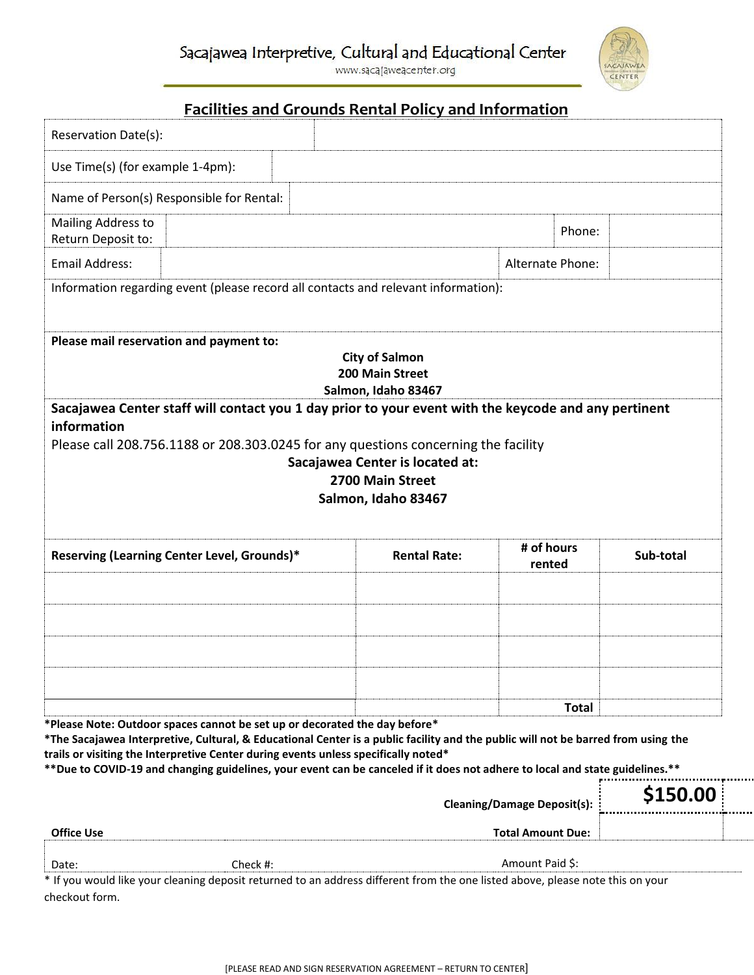www.sacajaweacenter.org



## **Facilities and Grounds Rental Policy and Information**

| Reservation Date(s):                                                                                                                                                                                                                                                                                                                                                                                                                   |                                                                 |                                    |              |           |
|----------------------------------------------------------------------------------------------------------------------------------------------------------------------------------------------------------------------------------------------------------------------------------------------------------------------------------------------------------------------------------------------------------------------------------------|-----------------------------------------------------------------|------------------------------------|--------------|-----------|
|                                                                                                                                                                                                                                                                                                                                                                                                                                        |                                                                 |                                    |              |           |
| Use Time(s) (for example 1-4pm):                                                                                                                                                                                                                                                                                                                                                                                                       |                                                                 |                                    |              |           |
| Name of Person(s) Responsible for Rental:                                                                                                                                                                                                                                                                                                                                                                                              |                                                                 |                                    |              |           |
| Mailing Address to<br>Return Deposit to:                                                                                                                                                                                                                                                                                                                                                                                               |                                                                 |                                    | Phone:       |           |
| <b>Email Address:</b>                                                                                                                                                                                                                                                                                                                                                                                                                  |                                                                 | Alternate Phone:                   |              |           |
| Information regarding event (please record all contacts and relevant information):                                                                                                                                                                                                                                                                                                                                                     |                                                                 |                                    |              |           |
|                                                                                                                                                                                                                                                                                                                                                                                                                                        |                                                                 |                                    |              |           |
| Sacajawea Center staff will contact you 1 day prior to your event with the keycode and any pertinent                                                                                                                                                                                                                                                                                                                                   | <b>City of Salmon</b><br>200 Main Street<br>Salmon, Idaho 83467 |                                    |              |           |
| information                                                                                                                                                                                                                                                                                                                                                                                                                            |                                                                 |                                    |              |           |
| Please call 208.756.1188 or 208.303.0245 for any questions concerning the facility                                                                                                                                                                                                                                                                                                                                                     | Sacajawea Center is located at:                                 |                                    |              |           |
|                                                                                                                                                                                                                                                                                                                                                                                                                                        |                                                                 |                                    |              |           |
|                                                                                                                                                                                                                                                                                                                                                                                                                                        | 2700 Main Street                                                |                                    |              |           |
|                                                                                                                                                                                                                                                                                                                                                                                                                                        | Salmon, Idaho 83467                                             |                                    |              |           |
|                                                                                                                                                                                                                                                                                                                                                                                                                                        |                                                                 |                                    |              |           |
| Reserving (Learning Center Level, Grounds)*                                                                                                                                                                                                                                                                                                                                                                                            | <b>Rental Rate:</b>                                             | # of hours<br>rented               |              | Sub-total |
|                                                                                                                                                                                                                                                                                                                                                                                                                                        |                                                                 |                                    |              |           |
|                                                                                                                                                                                                                                                                                                                                                                                                                                        |                                                                 |                                    |              |           |
|                                                                                                                                                                                                                                                                                                                                                                                                                                        |                                                                 |                                    |              |           |
|                                                                                                                                                                                                                                                                                                                                                                                                                                        |                                                                 |                                    |              |           |
|                                                                                                                                                                                                                                                                                                                                                                                                                                        |                                                                 |                                    | <b>Total</b> |           |
|                                                                                                                                                                                                                                                                                                                                                                                                                                        |                                                                 |                                    |              |           |
|                                                                                                                                                                                                                                                                                                                                                                                                                                        |                                                                 |                                    |              |           |
|                                                                                                                                                                                                                                                                                                                                                                                                                                        |                                                                 |                                    |              |           |
| *Please Note: Outdoor spaces cannot be set up or decorated the day before*<br>*The Sacajawea Interpretive, Cultural, & Educational Center is a public facility and the public will not be barred from using the<br>trails or visiting the Interpretive Center during events unless specifically noted*<br>**Due to COVID-19 and changing guidelines, your event can be canceled if it does not adhere to local and state guidelines.** |                                                                 | <b>Cleaning/Damage Deposit(s):</b> |              | \$150.00  |

Date: Check #: Amount Paid \$:

. . . . . . .

. . . . . . . .

\* If you would like your cleaning deposit returned to an address different from the one listed above, please note this on your checkout form.